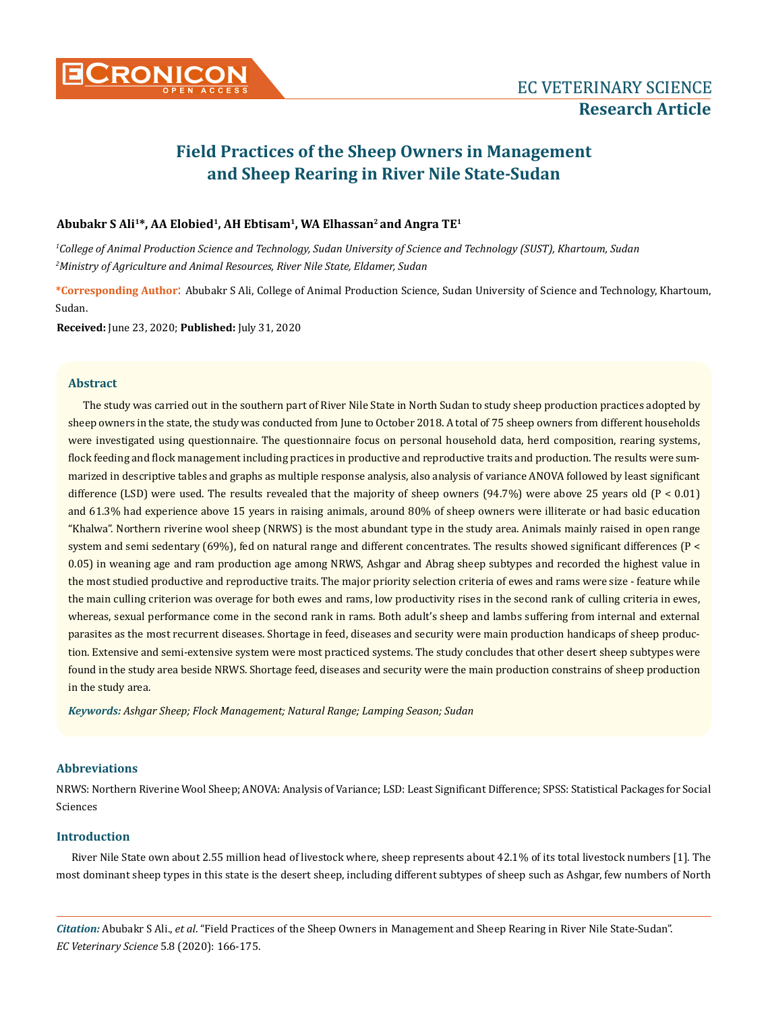

# **Field Practices of the Sheep Owners in Management and Sheep Rearing in River Nile State-Sudan**

# Abubakr S Ali<sup>1\*</sup>, AA Elobied<sup>1</sup>, AH Ebtisam<sup>1</sup>, WA Elhassan<sup>2</sup> and Angra TE<sup>1</sup>

*1 College of Animal Production Science and Technology, Sudan University of Science and Technology (SUST), Khartoum, Sudan 2 Ministry of Agriculture and Animal Resources, River Nile State, Eldamer, Sudan*

**\*Corresponding Author**: Abubakr S Ali, College of Animal Production Science, Sudan University of Science and Technology, Khartoum, Sudan.

**Received:** June 23, 2020; **Published:** July 31, 2020

# **Abstract**

The study was carried out in the southern part of River Nile State in North Sudan to study sheep production practices adopted by sheep owners in the state, the study was conducted from June to October 2018. A total of 75 sheep owners from different households were investigated using questionnaire. The questionnaire focus on personal household data, herd composition, rearing systems, flock feeding and flock management including practices in productive and reproductive traits and production. The results were summarized in descriptive tables and graphs as multiple response analysis, also analysis of variance ANOVA followed by least significant difference (LSD) were used. The results revealed that the majority of sheep owners (94.7%) were above 25 years old (P < 0.01) and 61.3% had experience above 15 years in raising animals, around 80% of sheep owners were illiterate or had basic education "Khalwa". Northern riverine wool sheep (NRWS) is the most abundant type in the study area. Animals mainly raised in open range system and semi sedentary (69%), fed on natural range and different concentrates. The results showed significant differences (P < 0.05) in weaning age and ram production age among NRWS, Ashgar and Abrag sheep subtypes and recorded the highest value in the most studied productive and reproductive traits. The major priority selection criteria of ewes and rams were size - feature while the main culling criterion was overage for both ewes and rams, low productivity rises in the second rank of culling criteria in ewes, whereas, sexual performance come in the second rank in rams. Both adult's sheep and lambs suffering from internal and external parasites as the most recurrent diseases. Shortage in feed, diseases and security were main production handicaps of sheep production. Extensive and semi-extensive system were most practiced systems. The study concludes that other desert sheep subtypes were found in the study area beside NRWS. Shortage feed, diseases and security were the main production constrains of sheep production in the study area.

*Keywords: Ashgar Sheep; Flock Management; Natural Range; Lamping Season; Sudan*

# **Abbreviations**

NRWS: Northern Riverine Wool Sheep; ANOVA: Analysis of Variance; LSD: Least Significant Difference; SPSS: Statistical Packages for Social Sciences

# **Introduction**

River Nile State own about 2.55 million head of livestock where, sheep represents about 42.1% of its total livestock numbers [1]. The most dominant sheep types in this state is the desert sheep, including different subtypes of sheep such as Ashgar, few numbers of North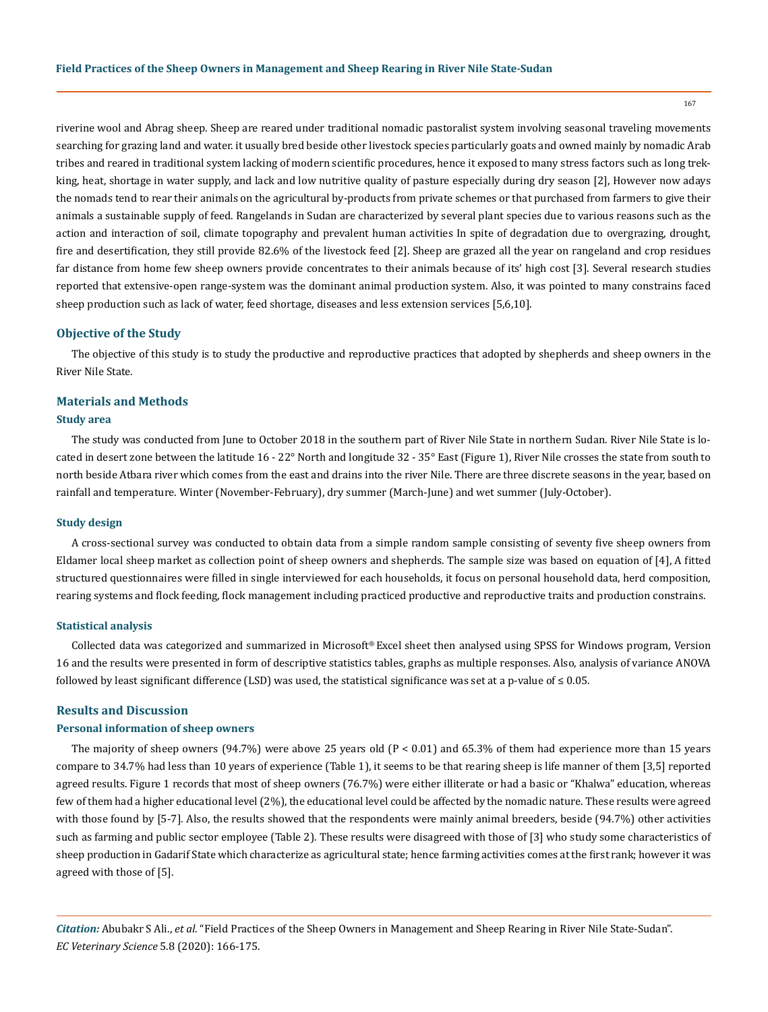riverine wool and Abrag sheep. Sheep are reared under traditional nomadic pastoralist system involving seasonal traveling movements searching for grazing land and water. it usually bred beside other livestock species particularly goats and owned mainly by nomadic Arab tribes and reared in traditional system lacking of modern scientific procedures, hence it exposed to many stress factors such as long trekking, heat, shortage in water supply, and lack and low nutritive quality of pasture especially during dry season [2], However now adays the nomads tend to rear their animals on the agricultural by-products from private schemes or that purchased from farmers to give their animals a sustainable supply of feed. Rangelands in Sudan are characterized by several plant species due to various reasons such as the action and interaction of soil, climate topography and prevalent human activities In spite of degradation due to overgrazing, drought, fire and desertification, they still provide 82.6% of the livestock feed [2]. Sheep are grazed all the year on rangeland and crop residues far distance from home few sheep owners provide concentrates to their animals because of its' high cost [3]. Several research studies reported that extensive-open range-system was the dominant animal production system. Also, it was pointed to many constrains faced sheep production such as lack of water, feed shortage, diseases and less extension services [5,6,10].

#### **Objective of the Study**

The objective of this study is to study the productive and reproductive practices that adopted by shepherds and sheep owners in the River Nile State.

# **Materials and Methods**

# **Study area**

The study was conducted from June to October 2018 in the southern part of River Nile State in northern Sudan. River Nile State is located in desert zone between the latitude 16 - 22° North and longitude 32 - 35° East (Figure 1), River Nile crosses the state from south to north beside Atbara river which comes from the east and drains into the river Nile. There are three discrete seasons in the year, based on rainfall and temperature. Winter (November-February), dry summer (March-June) and wet summer (July-October).

#### **Study design**

A cross-sectional survey was conducted to obtain data from a simple random sample consisting of seventy five sheep owners from Eldamer local sheep market as collection point of sheep owners and shepherds. The sample size was based on equation of [4], A fitted structured questionnaires were filled in single interviewed for each households, it focus on personal household data, herd composition, rearing systems and flock feeding, flock management including practiced productive and reproductive traits and production constrains.

#### **Statistical analysis**

Collected data was categorized and summarized in Microsoft® Excel sheet then analysed using SPSS for Windows program, Version 16 and the results were presented in form of descriptive statistics tables, graphs as multiple responses. Also, analysis of variance ANOVA followed by least significant difference (LSD) was used, the statistical significance was set at a p-value of  $\leq 0.05$ .

#### **Results and Discussion**

# **Personal information of sheep owners**

The majority of sheep owners (94.7%) were above 25 years old  $(P < 0.01)$  and 65.3% of them had experience more than 15 years compare to 34.7% had less than 10 years of experience (Table 1), it seems to be that rearing sheep is life manner of them [3,5] reported agreed results. Figure 1 records that most of sheep owners (76.7%) were either illiterate or had a basic or "Khalwa" education, whereas few of them had a higher educational level (2%), the educational level could be affected by the nomadic nature. These results were agreed with those found by [5-7]. Also, the results showed that the respondents were mainly animal breeders, beside (94.7%) other activities such as farming and public sector employee (Table 2). These results were disagreed with those of [3] who study some characteristics of sheep production in Gadarif State which characterize as agricultural state; hence farming activities comes at the first rank; however it was agreed with those of [5].

*Citation:* Abubakr S Ali., *et al*. "Field Practices of the Sheep Owners in Management and Sheep Rearing in River Nile State-Sudan". *EC Veterinary Science* 5.8 (2020): 166-175.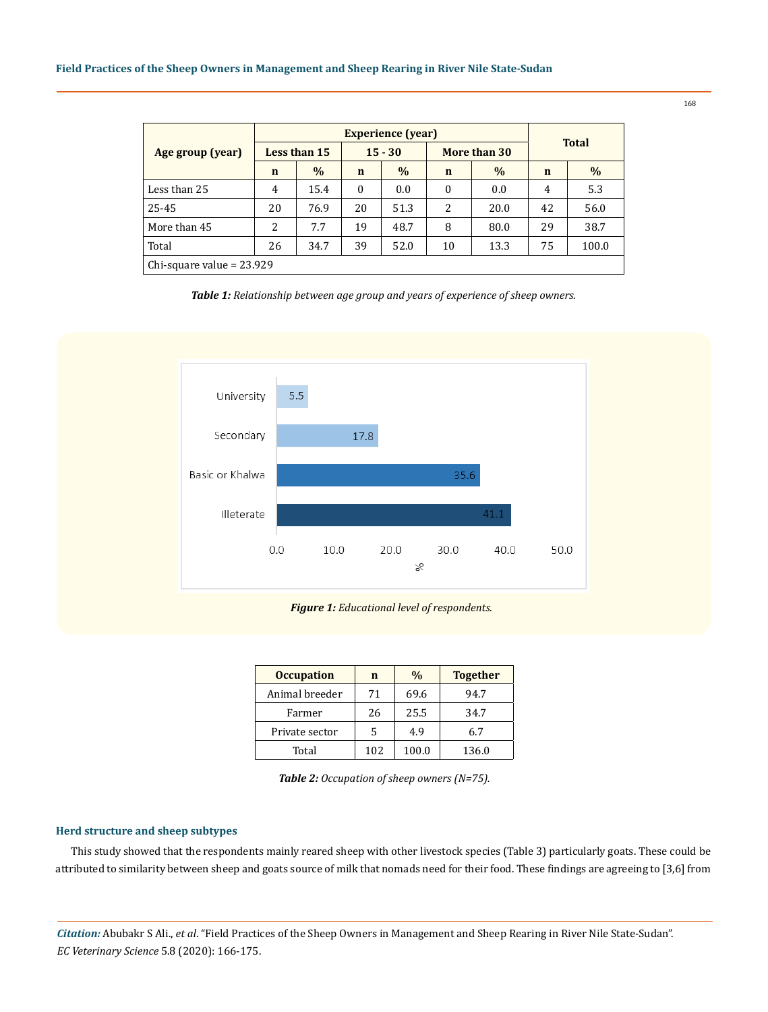## **Field Practices of the Sheep Owners in Management and Sheep Rearing in River Nile State-Sudan**

|                             | <b>Experience</b> (year)  |      |              |              |          |              |             |       |  |
|-----------------------------|---------------------------|------|--------------|--------------|----------|--------------|-------------|-------|--|
| Age group (year)            | $15 - 30$<br>Less than 15 |      |              | More than 30 |          | <b>Total</b> |             |       |  |
|                             | $\mathbf n$               | $\%$ | $\mathbf n$  | $\%$         | n        | $\%$         | $\mathbf n$ | $\%$  |  |
| Less than 25                | 4                         | 15.4 | $\mathbf{0}$ | 0.0          | $\Omega$ | 0.0          | 4           | 5.3   |  |
| 25-45                       | 20                        | 76.9 | 20           | 51.3         | 2        | 20.0         | 42          | 56.0  |  |
| More than 45                | 2                         | 7.7  | 19           | 48.7         | 8        | 80.0         | 29          | 38.7  |  |
| Total                       | 26                        | 34.7 | 39           | 52.0         | 10       | 13.3         | 75          | 100.0 |  |
| Chi-square value = $23.929$ |                           |      |              |              |          |              |             |       |  |

*Table 1: Relationship between age group and years of experience of sheep owners.*



# *Figure 1: Educational level of respondents.*

| <b>Occupation</b> | n   | $\frac{0}{0}$ | <b>Together</b> |
|-------------------|-----|---------------|-----------------|
| Animal breeder    | 71  | 69.6          | 94.7            |
| Farmer            | 26  | 25.5          | 34.7            |
| Private sector    | 5   | 4.9           | 6.7             |
| Total             | 102 | 100.0         | 136.0           |

*Table 2: Occupation of sheep owners (N=75).*

# **Herd structure and sheep subtypes**

This study showed that the respondents mainly reared sheep with other livestock species (Table 3) particularly goats. These could be attributed to similarity between sheep and goats source of milk that nomads need for their food. These findings are agreeing to [3,6] from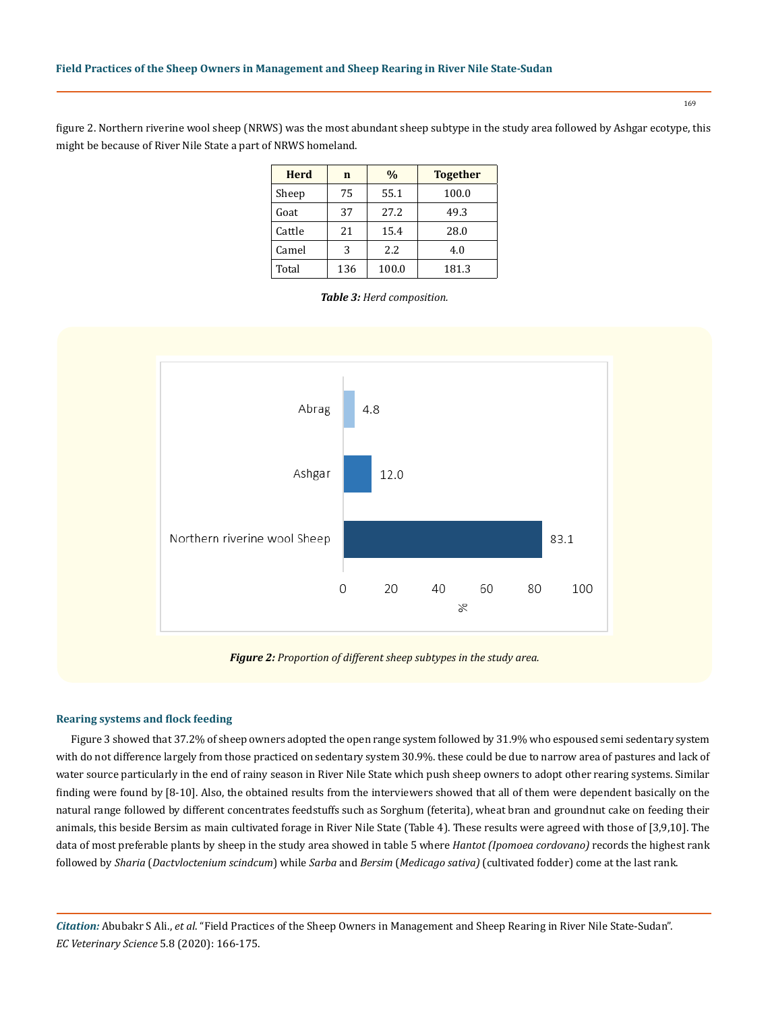figure 2. Northern riverine wool sheep (NRWS) was the most abundant sheep subtype in the study area followed by Ashgar ecotype, this might be because of River Nile State a part of NRWS homeland.

| <b>Herd</b> | $\mathbf n$ | $\%$  | <b>Together</b> |
|-------------|-------------|-------|-----------------|
| Sheep       | 75          | 55.1  | 100.0           |
| Goat        | 37          | 27.2  | 49.3            |
| Cattle      | 21          | 15.4  | 28.0            |
| Camel       | 3           | 2.2.  | 4.0             |
| Total       | 136         | 100.0 | 181.3           |

*Table 3: Herd composition.*



**Rearing systems and flock feeding**

Figure 3 showed that 37.2% of sheep owners adopted the open range system followed by 31.9% who espoused semi sedentary system with do not difference largely from those practiced on sedentary system 30.9%. these could be due to narrow area of pastures and lack of water source particularly in the end of rainy season in River Nile State which push sheep owners to adopt other rearing systems. Similar finding were found by [8-10]. Also, the obtained results from the interviewers showed that all of them were dependent basically on the natural range followed by different concentrates feedstuffs such as Sorghum (feterita), wheat bran and groundnut cake on feeding their animals, this beside Bersim as main cultivated forage in River Nile State (Table 4). These results were agreed with those of [3,9,10]. The data of most preferable plants by sheep in the study area showed in table 5 where *Hantot (Ipomoea cordovano)* records the highest rank followed by *Sharia* (*Dactvloctenium scindcum*) while *Sarba* and *Bersim* (*Medicago sativa)* (cultivated fodder) come at the last rank.

*Citation:* Abubakr S Ali., *et al*. "Field Practices of the Sheep Owners in Management and Sheep Rearing in River Nile State-Sudan". *EC Veterinary Science* 5.8 (2020): 166-175.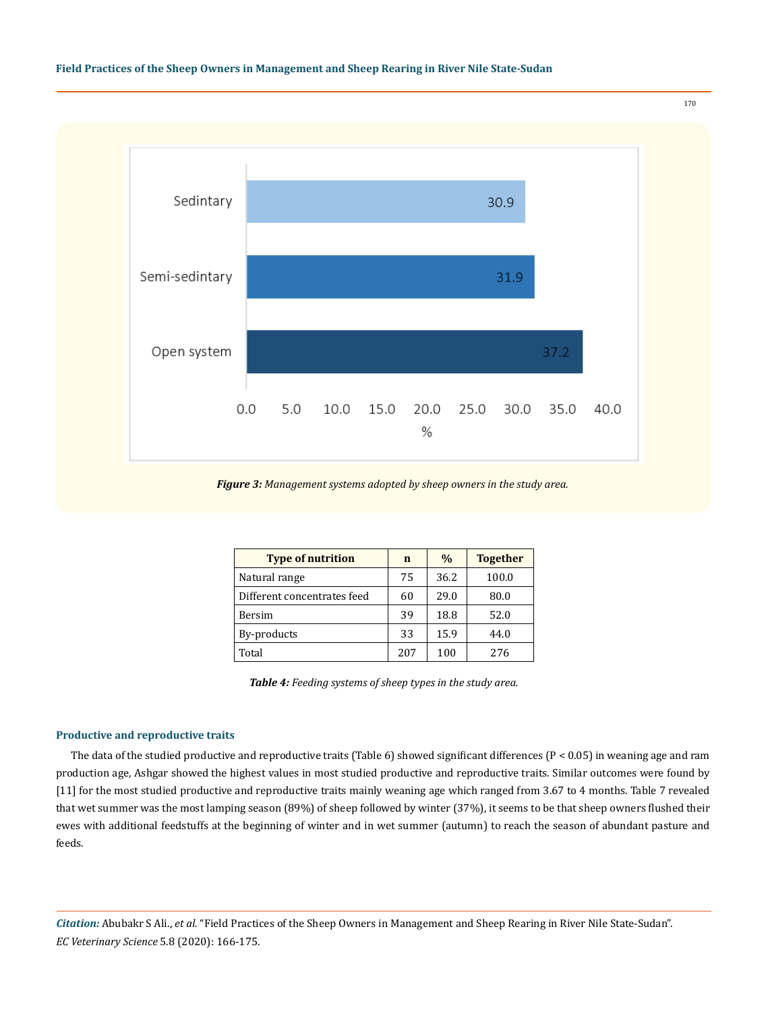

*Figure 3: Management systems adopted by sheep owners in the study area.*

| <b>Type of nutrition</b>    | n   | $\frac{0}{0}$ | <b>Together</b> |
|-----------------------------|-----|---------------|-----------------|
| Natural range               | 75  | 36.2          | 100.0           |
| Different concentrates feed | 60  | 29.0          | 80.0            |
| Bersim                      | 39  | 18.8          | 52.0            |
| By-products                 | 33  | 15.9          | 44.0            |
| Total                       | 207 | 100           | 276             |

*Table 4: Feeding systems of sheep types in the study area.*

#### **Productive and reproductive traits**

The data of the studied productive and reproductive traits (Table 6) showed significant differences (P < 0.05) in weaning age and ram production age, Ashgar showed the highest values in most studied productive and reproductive traits. Similar outcomes were found by [11] for the most studied productive and reproductive traits mainly weaning age which ranged from 3.67 to 4 months. Table 7 revealed that wet summer was the most lamping season (89%) of sheep followed by winter (37%), it seems to be that sheep owners flushed their ewes with additional feedstuffs at the beginning of winter and in wet summer (autumn) to reach the season of abundant pasture and feeds.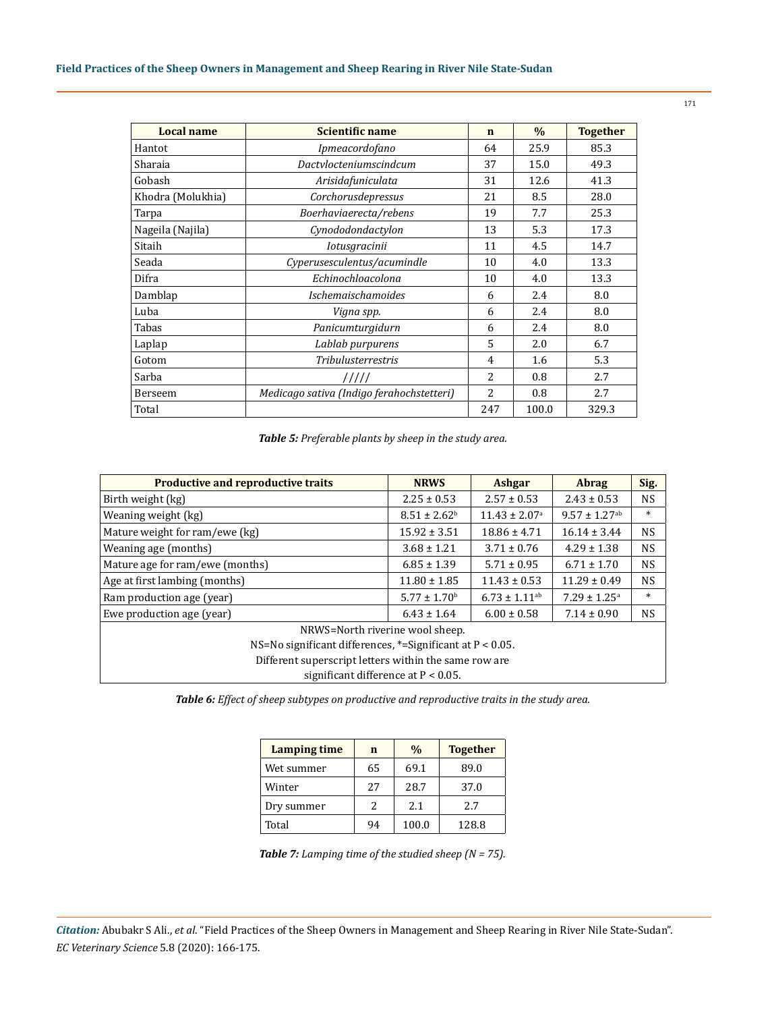| <b>Local name</b> | Scientific name                           | $\mathbf n$    | $\%$  | <b>Together</b> |
|-------------------|-------------------------------------------|----------------|-------|-----------------|
| Hantot            | Ipmeacordofano                            | 64             | 25.9  | 85.3            |
| Sharaia           | Dactylocteniumscindcum                    | 37             | 15.0  | 49.3            |
| Gobash            | Arisidafuniculata                         | 31             | 12.6  | 41.3            |
| Khodra (Molukhia) | Corchorusdepressus                        | 21             | 8.5   | 28.0            |
| Tarpa             | Boerhaviaerecta/rebens                    | 19             | 7.7   | 25.3            |
| Nageila (Najila)  | Cynododondactylon                         | 13             | 5.3   | 17.3            |
| Sitaih            | <i>Iotusgracinii</i>                      | 11             | 4.5   | 14.7            |
| Seada             | Cyperusesculentus/acumindle               | 10             | 4.0   | 13.3            |
| Difra             | Echinochloacolona                         | 10             | 4.0   | 13.3            |
| Damblap           | <i>Ischemaischamoides</i>                 | 6              | 2.4   | 8.0             |
| Luba              | Vigna spp.                                | 6              | 2.4   | 8.0             |
| Tabas             | Panicumturgidurn                          | 6              | 2.4   | 8.0             |
| Laplap            | Lablab purpurens                          | 5              | 2.0   | 6.7             |
| Gotom             | <b>Tribulusterrestris</b>                 | 4              | 1.6   | 5.3             |
| Sarba             | 11111                                     | $\overline{a}$ | 0.8   | 2.7             |
| Berseem           | Medicago sativa (Indigo ferahochstetteri) | $\overline{c}$ | 0.8   | 2.7             |
| Total             |                                           | 247            | 100.0 | 329.3           |

*Table 5: Preferable plants by sheep in the study area.*

| <b>Productive and reproductive traits</b>                  | <b>NRWS</b>                  | <b>Ashgar</b>                 | <b>Abrag</b>                  | Sig.      |  |  |
|------------------------------------------------------------|------------------------------|-------------------------------|-------------------------------|-----------|--|--|
| Birth weight (kg)                                          | $2.25 \pm 0.53$              | $2.57 \pm 0.53$               | $2.43 \pm 0.53$               | <b>NS</b> |  |  |
| Weaning weight (kg)                                        | $8.51 \pm 2.62^{\circ}$      | $11.43 \pm 2.07$ <sup>a</sup> | $9.57 \pm 1.27$ <sup>ab</sup> | $\ast$    |  |  |
| Mature weight for ram/ewe (kg)                             | $15.92 \pm 3.51$             | $18.86 \pm 4.71$              | $16.14 \pm 3.44$              | <b>NS</b> |  |  |
| Weaning age (months)                                       | $3.68 \pm 1.21$              | $3.71 \pm 0.76$               | $4.29 \pm 1.38$               | <b>NS</b> |  |  |
| Mature age for ram/ewe (months)                            | $6.85 \pm 1.39$              | $5.71 \pm 0.95$               | $6.71 \pm 1.70$               | <b>NS</b> |  |  |
| Age at first lambing (months)                              | $11.80 \pm 1.85$             | $11.43 \pm 0.53$              | $11.29 \pm 0.49$              | <b>NS</b> |  |  |
| Ram production age (year)                                  | $5.77 \pm 1.70$ <sup>b</sup> | $6.73 \pm 1.11$ <sup>ab</sup> | $7.29 \pm 1.25$ <sup>a</sup>  | $\ast$    |  |  |
| Ewe production age (year)                                  | $6.43 \pm 1.64$              | $6.00 \pm 0.58$               | $7.14 \pm 0.90$               | <b>NS</b> |  |  |
| NRWS=North riverine wool sheep.                            |                              |                               |                               |           |  |  |
| NS=No significant differences, *= Significant at P < 0.05. |                              |                               |                               |           |  |  |
| Different superscript letters within the same row are      |                              |                               |                               |           |  |  |
| significant difference at $P < 0.05$ .                     |                              |                               |                               |           |  |  |

*Table 6: Effect of sheep subtypes on productive and reproductive traits in the study area.*

| <b>Lamping time</b> | n  | $\%$  | <b>Together</b> |
|---------------------|----|-------|-----------------|
| Wet summer          | 65 | 69.1  | 89.0            |
| Winter              | 27 | 28.7  | 37.0            |
| Dry summer          | 2  | 2.1   | 27              |
| Total               | 94 | 100.0 | 128.8           |

|  | <b>Table 7:</b> Lamping time of the studied sheep ( $N = 75$ ). |  |
|--|-----------------------------------------------------------------|--|
|--|-----------------------------------------------------------------|--|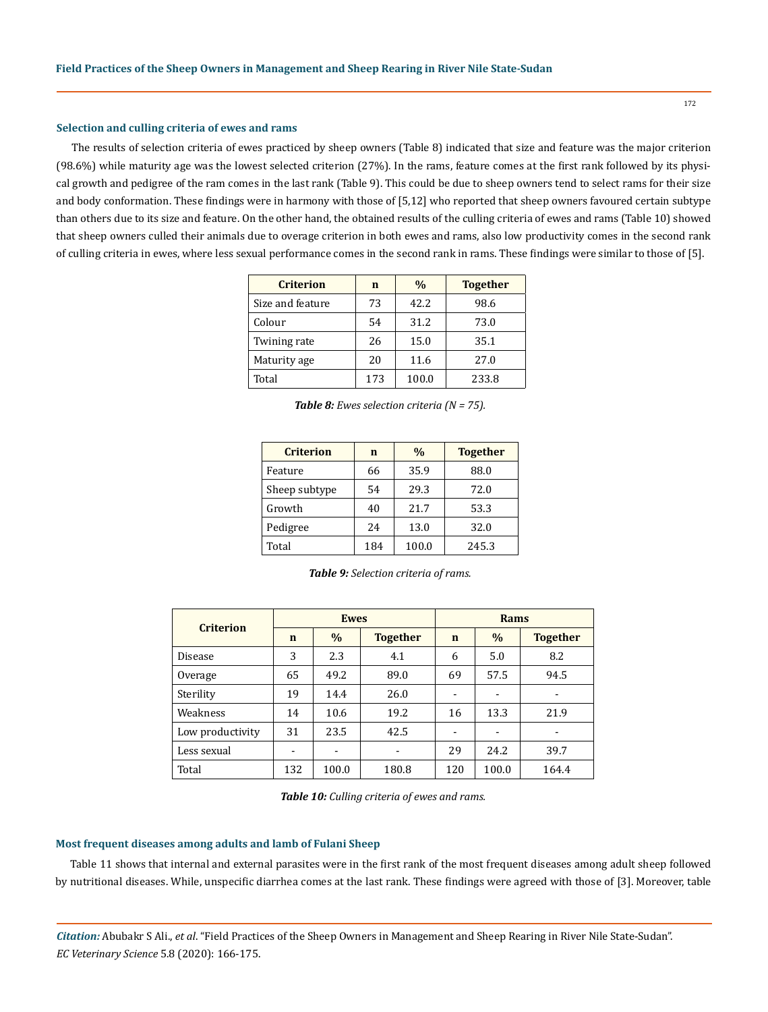#### **Selection and culling criteria of ewes and rams**

The results of selection criteria of ewes practiced by sheep owners (Table 8) indicated that size and feature was the major criterion (98.6%) while maturity age was the lowest selected criterion (27%). In the rams, feature comes at the first rank followed by its physical growth and pedigree of the ram comes in the last rank (Table 9). This could be due to sheep owners tend to select rams for their size and body conformation. These findings were in harmony with those of [5,12] who reported that sheep owners favoured certain subtype than others due to its size and feature. On the other hand, the obtained results of the culling criteria of ewes and rams (Table 10) showed that sheep owners culled their animals due to overage criterion in both ewes and rams, also low productivity comes in the second rank of culling criteria in ewes, where less sexual performance comes in the second rank in rams. These findings were similar to those of [5].

| <b>Criterion</b> | $\mathbf n$ | $\frac{0}{0}$ | <b>Together</b> |
|------------------|-------------|---------------|-----------------|
| Size and feature | 73          | 42.2          | 98.6            |
| Colour           | 54          | 31.2          | 73.0            |
| Twining rate     | 26          | 15.0          | 35.1            |
| Maturity age     | 20          | 11.6          | 27.0            |
| Total            | 173         | 100.0         | 233.8           |

| Table 8: Ewes selection criteria ( $N = 75$ ). |  |  |
|------------------------------------------------|--|--|
|------------------------------------------------|--|--|

| <b>Criterion</b> | n   | $\frac{0}{0}$ | <b>Together</b> |
|------------------|-----|---------------|-----------------|
| Feature          | 66  | 35.9          | 88.0            |
| Sheep subtype    | 54  | 29.3          | 72.0            |
| Growth           | 40  | 21.7          | 53.3            |
| Pedigree         | 24  | 13.0          | 32.0            |
| Total            | 184 | 100.0         | 245.3           |

| <b>Table 9:</b> Selection criteria of rams. |  |  |
|---------------------------------------------|--|--|
|---------------------------------------------|--|--|

| <b>Criterion</b> | <b>Ewes</b> |       |                 | Rams                     |       |                          |
|------------------|-------------|-------|-----------------|--------------------------|-------|--------------------------|
|                  | $\mathbf n$ | $\%$  | <b>Together</b> | n                        | $\%$  | <b>Together</b>          |
| Disease          | 3           | 2.3   | 4.1             | 6                        | 5.0   | 8.2                      |
| Overage          | 65          | 49.2  | 89.0            | 69                       | 57.5  | 94.5                     |
| Sterility        | 19          | 14.4  | 26.0            | $\overline{\phantom{a}}$ |       |                          |
| Weakness         | 14          | 10.6  | 19.2            | 16                       | 13.3  | 21.9                     |
| Low productivity | 31          | 23.5  | 42.5            | -                        | -     | $\overline{\phantom{0}}$ |
| Less sexual      | -           |       |                 | 29                       | 24.2  | 39.7                     |
| Total            | 132         | 100.0 | 180.8           | 120                      | 100.0 | 164.4                    |

*Table 10: Culling criteria of ewes and rams.*

#### **Most frequent diseases among adults and lamb of Fulani Sheep**

Table 11 shows that internal and external parasites were in the first rank of the most frequent diseases among adult sheep followed by nutritional diseases. While, unspecific diarrhea comes at the last rank. These findings were agreed with those of [3]. Moreover, table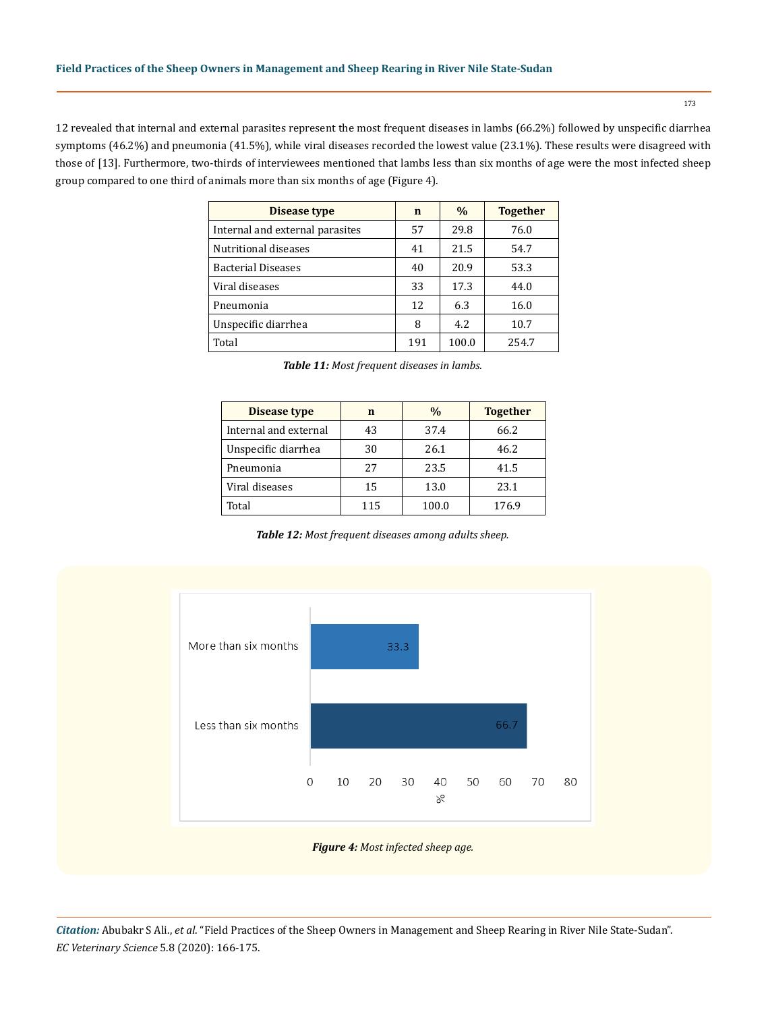12 revealed that internal and external parasites represent the most frequent diseases in lambs (66.2%) followed by unspecific diarrhea symptoms (46.2%) and pneumonia (41.5%), while viral diseases recorded the lowest value (23.1%). These results were disagreed with those of [13]. Furthermore, two-thirds of interviewees mentioned that lambs less than six months of age were the most infected sheep group compared to one third of animals more than six months of age (Figure 4).

| Disease type                    | $\mathbf n$ | $\%$  | <b>Together</b> |
|---------------------------------|-------------|-------|-----------------|
| Internal and external parasites | 57          | 29.8  | 76.0            |
| Nutritional diseases            | 41          | 21.5  | 54.7            |
| <b>Bacterial Diseases</b>       | 40          | 20.9  | 53.3            |
| Viral diseases                  | 33          | 17.3  | 44.0            |
| Pneumonia                       | 12          | 6.3   | 16.0            |
| Unspecific diarrhea             | 8           | 4.2.  | 10.7            |
| Total                           | 191         | 100.0 | 254.7           |

| <b>Table 11:</b> Most frequent diseases in lambs. |  |
|---------------------------------------------------|--|
|---------------------------------------------------|--|

| <b>Disease type</b>   | n   | $\frac{0}{0}$ | <b>Together</b> |
|-----------------------|-----|---------------|-----------------|
| Internal and external | 43  | 37.4          | 66.2            |
| Unspecific diarrhea   | 30  | 26.1          | 46.2            |
| Pneumonia             | 27  | 23.5          | 41.5            |
| Viral diseases        | 15  | 13.0          | 23.1            |
| Total                 | 115 | 100.0         | 176.9           |

*Table 12: Most frequent diseases among adults sheep.*



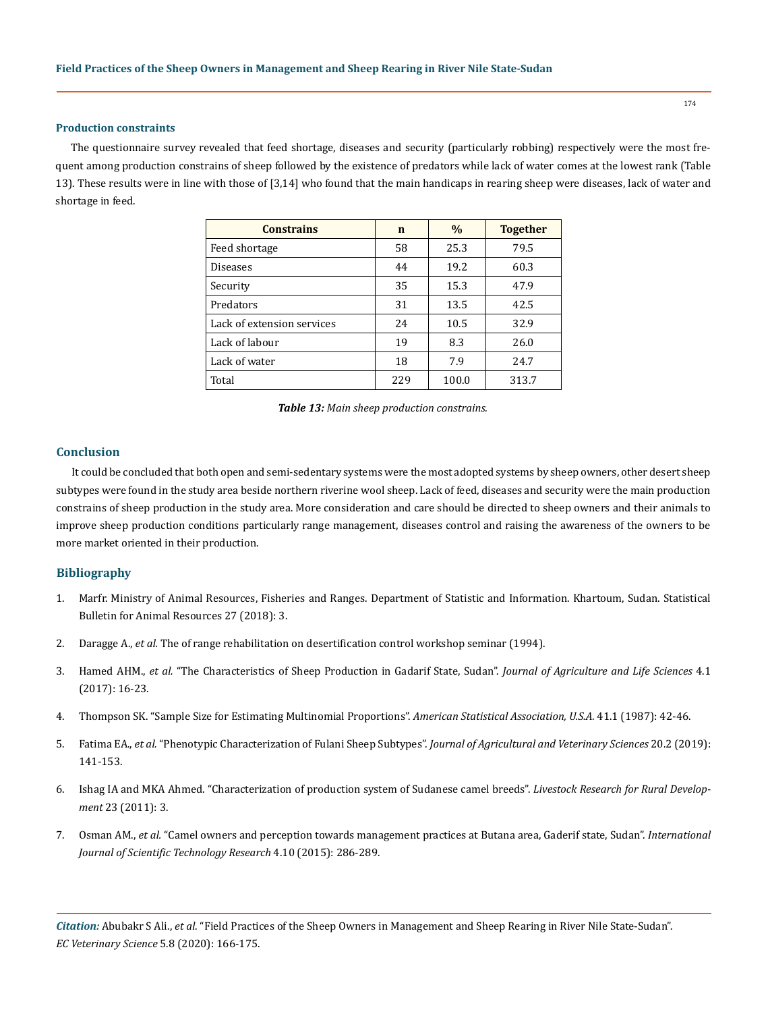#### **Production constraints**

The questionnaire survey revealed that feed shortage, diseases and security (particularly robbing) respectively were the most frequent among production constrains of sheep followed by the existence of predators while lack of water comes at the lowest rank (Table 13). These results were in line with those of [3,14] who found that the main handicaps in rearing sheep were diseases, lack of water and shortage in feed.

| <b>Constrains</b>          | $\mathbf n$ | $\frac{0}{0}$ | <b>Together</b> |
|----------------------------|-------------|---------------|-----------------|
| Feed shortage              | 58          | 25.3          | 79.5            |
| <b>Diseases</b>            | 44          | 19.2          | 60.3            |
| Security                   | 35          | 15.3          | 47.9            |
| Predators                  | 31          | 13.5          | 42.5            |
| Lack of extension services | 24          | 10.5          | 32.9            |
| Lack of labour             | 19          | 8.3           | 26.0            |
| Lack of water              | 18          | 7.9           | 24.7            |
| Total                      | 229         | 100.0         | 313.7           |

#### **Conclusion**

It could be concluded that both open and semi-sedentary systems were the most adopted systems by sheep owners, other desert sheep subtypes were found in the study area beside northern riverine wool sheep. Lack of feed, diseases and security were the main production constrains of sheep production in the study area. More consideration and care should be directed to sheep owners and their animals to improve sheep production conditions particularly range management, diseases control and raising the awareness of the owners to be more market oriented in their production.

### **Bibliography**

- 1. Marfr. Ministry of Animal Resources, Fisheries and Ranges. Department of Statistic and Information. Khartoum, Sudan. Statistical Bulletin for Animal Resources 27 (2018): 3.
- 2. Daragge A., *et al.* The of range rehabilitation on desertification control workshop seminar (1994).
- 3. Hamed AHM., *et al.* ["The Characteristics of Sheep Production in Gadarif State, Sudan".](http://jalsnet.com/journals/Vol_4_No_1_June_2017/2.pdf) *Journal of Agriculture and Life Sciences* 4.1 [\(2017\): 16-23.](http://jalsnet.com/journals/Vol_4_No_1_June_2017/2.pdf)
- 4. [Thompson SK. "Sample Size for Estimating Multinomial Proportions".](https://amstat.tandfonline.com/doi/abs/10.1080/00031305.1987.10475440) *American Statistical Association, U.S.A.* 41.1 (1987): 42-46.
- 5. Fatima EA., *et al.* ["Phenotypic Characterization of Fulani Sheep Subtypes".](http://repository.sustech.edu/handle/123456789/24686) *Journal of Agricultural and Veterinary Sciences* 20.2 (2019): [141-153.](http://repository.sustech.edu/handle/123456789/24686)
- 6. [Ishag IA and MKA Ahmed. "Characterization of production system of Sudanese camel breeds".](https://www.researchgate.net/publication/292282203_Characterization_of_production_system_of_Sudanese_camel_breeds) *Livestock Research for Rural Development* [23 \(2011\): 3.](https://www.researchgate.net/publication/292282203_Characterization_of_production_system_of_Sudanese_camel_breeds)
- 7. Osman AM., *et al.* ["Camel owners and perception towards management practices at Butana area, Gaderif state, Sudan".](https://www.ijstr.org/final-print/oct2015/Camel-Owners-And-Perception-Towards-Management-Practices-At-Butanaarea-Gaderif-State-Sudan.pdf) *International [Journal of Scientific Technology Research](https://www.ijstr.org/final-print/oct2015/Camel-Owners-And-Perception-Towards-Management-Practices-At-Butanaarea-Gaderif-State-Sudan.pdf)* 4.10 (2015): 286-289.